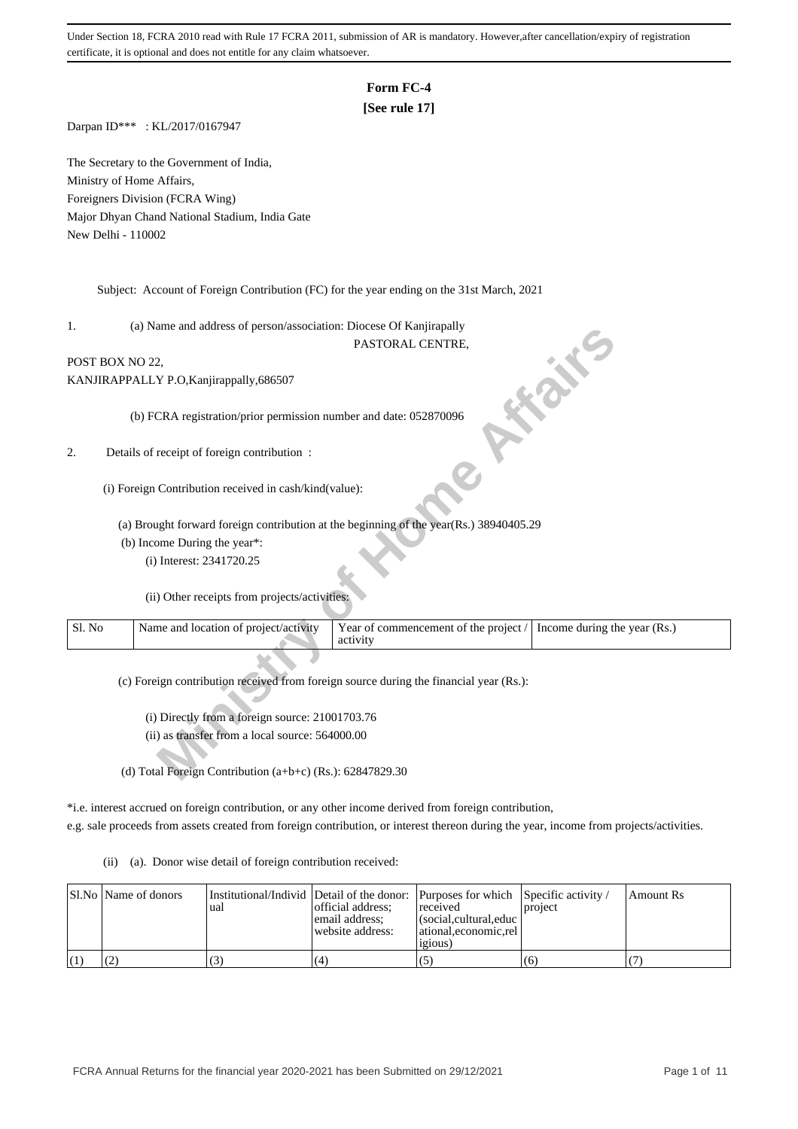## **Form FC-4**

#### **[See rule 17]**

Darpan ID\*\*\* : KL/2017/0167947

The Secretary to the Government of India, Ministry of Home Affairs, Foreigners Division (FCRA Wing) Major Dhyan Chand National Stadium, India Gate New Delhi - 110002

Subject: Account of Foreign Contribution (FC) for the year ending on the 31st March, 2021

1. (a) Name and address of person/association: Diocese Of Kanjirapally

# POST BOX NO 22,

| 1.              | (a) ivalue and address of person/association. Diocese Of Kanfinapally                  |                                                                                        |
|-----------------|----------------------------------------------------------------------------------------|----------------------------------------------------------------------------------------|
|                 |                                                                                        | PASTORAL CENTRE,                                                                       |
| POST BOX NO 22. |                                                                                        |                                                                                        |
|                 | KANJIRAPPALLY P.O, Kanjirappally, 686507                                               | $\cdot\frac{1}{\alpha}$                                                                |
|                 | (b) FCRA registration/prior permission number and date: 052870096                      |                                                                                        |
|                 |                                                                                        |                                                                                        |
| 2.              | Details of receipt of foreign contribution :                                           |                                                                                        |
|                 |                                                                                        |                                                                                        |
|                 | (i) Foreign Contribution received in cash/kind(value):                                 |                                                                                        |
|                 |                                                                                        | (a) Brought forward foreign contribution at the beginning of the year(Rs.) 38940405.29 |
|                 | (b) Income During the year*:                                                           |                                                                                        |
|                 | (i) Interest: 2341720.25                                                               |                                                                                        |
|                 |                                                                                        |                                                                                        |
|                 | (ii) Other receipts from projects/activities:                                          |                                                                                        |
| Sl. No          | Name and location of project/activity                                                  | Year of commencement of the project /<br>Income during the year (Rs.)                  |
|                 |                                                                                        | activity                                                                               |
|                 |                                                                                        |                                                                                        |
|                 | (c) Foreign contribution received from foreign source during the financial year (Rs.): |                                                                                        |
|                 |                                                                                        |                                                                                        |
|                 | (i) Directly from a foreign source: 21001703.76                                        |                                                                                        |
|                 | (ii) as transfer from a local source: 564000.00                                        |                                                                                        |
|                 |                                                                                        |                                                                                        |
|                 | (d) Total Foreign Contribution $(a+b+c)$ (Rs.): 62847829.30                            |                                                                                        |

\*i.e. interest accrued on foreign contribution, or any other income derived from foreign contribution, e.g. sale proceeds from assets created from foreign contribution, or interest thereon during the year, income from projects/activities.

(ii) (a). Donor wise detail of foreign contribution received:

| Sl.No   Name of donors | l ual | official address:<br>email address:<br>website address: | Institutional/Individ Detail of the donor: Purposes for which Specific activity /<br>received<br>(social.cultural.educ)<br>  ational.economic.rel<br>1210US | project | Amount Rs |
|------------------------|-------|---------------------------------------------------------|-------------------------------------------------------------------------------------------------------------------------------------------------------------|---------|-----------|
|                        |       | (4)                                                     |                                                                                                                                                             | (6)     |           |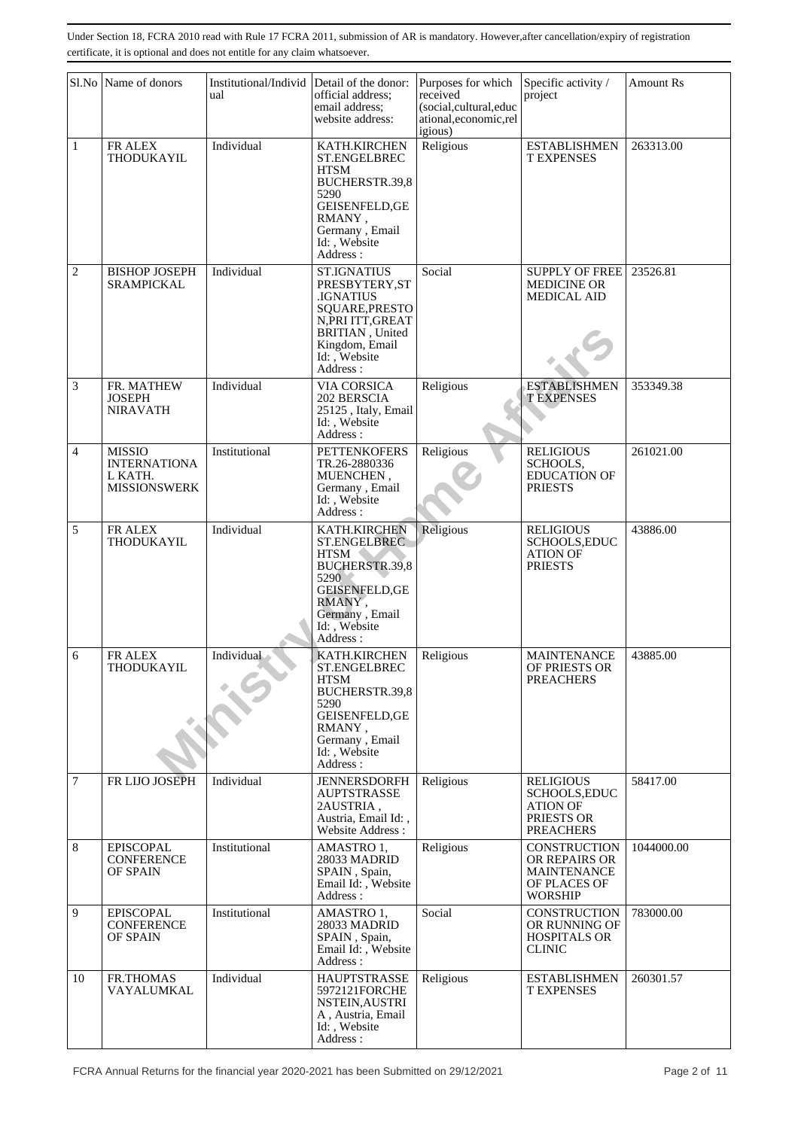|                | Sl.No Name of donors                                                   | Institutional/Individ Detail of the donor:<br>ual | official address;<br>email address;<br>website address:                                                                                                               | Purposes for which<br>received<br>(social,cultural,educ<br>ational, economic, rel<br>igious) | Specific activity /<br>project                                                                | <b>Amount Rs</b> |
|----------------|------------------------------------------------------------------------|---------------------------------------------------|-----------------------------------------------------------------------------------------------------------------------------------------------------------------------|----------------------------------------------------------------------------------------------|-----------------------------------------------------------------------------------------------|------------------|
| $\mathbf{1}$   | FR ALEX<br>THODUKAYIL                                                  | Individual                                        | KATH.KIRCHEN<br><b>ST.ENGELBREC</b><br><b>HTSM</b><br>BUCHERSTR.39,8<br>5290<br><b>GEISENFELD, GE</b><br>RMANY,<br>Germany, Email<br>Id: Website<br>Address :         | Religious                                                                                    | <b>ESTABLISHMEN</b><br><b>T EXPENSES</b>                                                      | 263313.00        |
| $\overline{c}$ | <b>BISHOP JOSEPH</b><br><b>SRAMPICKAL</b>                              | Individual                                        | <b>ST.IGNATIUS</b><br>PRESBYTERY, ST<br><b>IGNATIUS</b><br>SQUARE, PRESTO<br>N, PRI ITT, GREAT<br>BRITIAN, United<br>Kingdom, Email<br>Id: , Website<br>Address:      | Social                                                                                       | <b>SUPPLY OF FREE</b><br><b>MEDICINE OR</b><br><b>MEDICAL AID</b>                             | 23526.81         |
| 3              | FR. MATHEW<br>JOSEPH<br><b>NIRAVATH</b>                                | Individual                                        | <b>VIA CORSICA</b><br>202 BERSCIA<br>25125, Italy, Email<br>Id: Website<br>Address:                                                                                   | Religious                                                                                    | <b>ESTABLISHMEN</b><br><b>TEXPENSES</b>                                                       | 353349.38        |
| 4              | <b>MISSIO</b><br><b>INTERNATIONA</b><br>L KATH.<br><b>MISSIONSWERK</b> | Institutional                                     | <b>PETTENKOFERS</b><br>TR.26-2880336<br>MUENCHEN,<br>Germany, Email<br>Id:, Website<br>Address:                                                                       | Religious                                                                                    | <b>RELIGIOUS</b><br>SCHOOLS.<br><b>EDUCATION OF</b><br><b>PRIESTS</b>                         | 261021.00        |
| 5              | FR ALEX<br>THODUKAYIL                                                  | Individual                                        | KATH.KIRCHEN<br><b>ST.ENGELBREC</b><br><b>HTSM</b><br><b>BUCHERSTR.39,8</b><br>5290<br><b>GEISENFELD, GE</b><br>RMANY,<br>Germany, Email<br>Id: , Website<br>Address: | Religious                                                                                    | <b>RELIGIOUS</b><br>SCHOOLS, EDUC<br><b>ATION OF</b><br><b>PRIESTS</b>                        | 43886.00         |
| 6              | FR ALEX<br>THODUKAYIL                                                  | Individual                                        | KATH.KIRCHEN<br>ST.ENGELBREC<br>HTSM<br>BUCHERSTR.39,8<br>5290<br><b>GEISENFELD, GE</b><br>RMANY,<br>Germany, Email<br>Id:, Website<br>Address:                       | Religious                                                                                    | <b>MAINTENANCE</b><br>OF PRIESTS OR<br><b>PREACHERS</b>                                       | 43885.00         |
| $\tau$         | FR LIJO JOSEPH                                                         | Individual                                        | <b>JENNERSDORFH</b><br><b>AUPTSTRASSE</b><br>2AUSTRIA,<br>Austria, Email Id:,<br>Website Address:                                                                     | Religious                                                                                    | <b>RELIGIOUS</b><br><b>SCHOOLS, EDUC</b><br><b>ATION OF</b><br>PRIESTS OR<br><b>PREACHERS</b> | 58417.00         |
| 8              | <b>EPISCOPAL</b><br><b>CONFERENCE</b><br>OF SPAIN                      | Institutional                                     | AMASTRO 1,<br>28033 MADRID<br>SPAIN, Spain,<br>Email Id: , Website<br>Address:                                                                                        | Religious                                                                                    | CONSTRUCTION<br>OR REPAIRS OR<br><b>MAINTENANCE</b><br>OF PLACES OF<br><b>WORSHIP</b>         | 1044000.00       |
| 9              | <b>EPISCOPAL</b><br><b>CONFERENCE</b><br>OF SPAIN                      | Institutional                                     | AMASTRO 1,<br>28033 MADRID<br>SPAIN, Spain,<br>Email Id:, Website<br>Address:                                                                                         | Social                                                                                       | CONSTRUCTION<br>OR RUNNING OF<br><b>HOSPITALS OR</b><br><b>CLINIC</b>                         | 783000.00        |
| 10             | FR.THOMAS<br>VAYALUMKAL                                                | Individual                                        | <b>HAUPTSTRASSE</b><br>5972121FORCHE<br>NSTEIN, AUSTRI<br>A, Austria, Email<br>Id:, Website<br>Address :                                                              | Religious                                                                                    | <b>ESTABLISHMEN</b><br><b>T EXPENSES</b>                                                      | 260301.57        |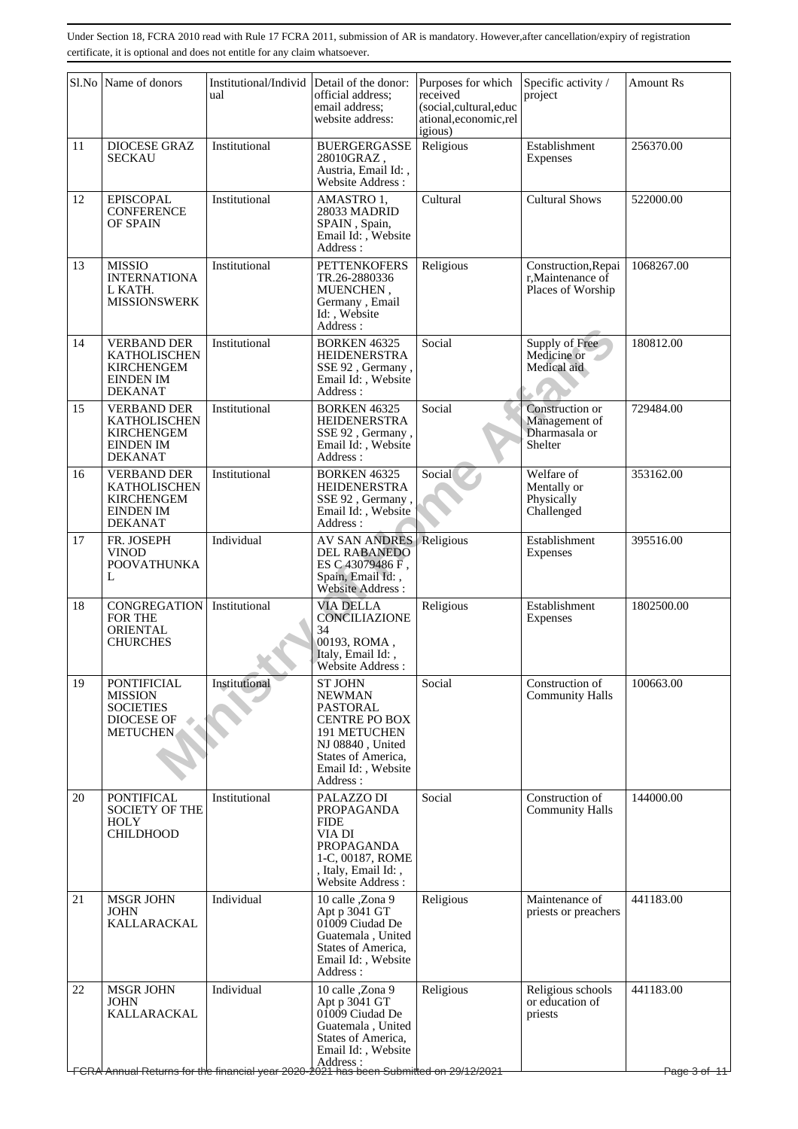|    | Sl.No Name of donors                                                                                 | Institutional/Individ<br>ual | Detail of the donor:<br>official address;<br>email address;<br>website address:                                                                                 | Purposes for which<br>received<br>(social,cultural,educ<br>ational, economic, rel<br>igious) | Specific activity /<br>project                                | <b>Amount Rs</b>                     |
|----|------------------------------------------------------------------------------------------------------|------------------------------|-----------------------------------------------------------------------------------------------------------------------------------------------------------------|----------------------------------------------------------------------------------------------|---------------------------------------------------------------|--------------------------------------|
| 11 | <b>DIOCESE GRAZ</b><br><b>SECKAU</b>                                                                 | Institutional                | <b>BUERGERGASSE</b><br>28010GRAZ,<br>Austria, Email Id:,<br><b>Website Address:</b>                                                                             | Religious                                                                                    | Establishment<br>Expenses                                     | 256370.00                            |
| 12 | <b>EPISCOPAL</b><br><b>CONFERENCE</b><br>OF SPAIN                                                    | Institutional                | AMASTRO 1,<br>28033 MADRID<br>SPAIN, Spain,<br>Email Id: , Website<br>Address:                                                                                  | Cultural                                                                                     | <b>Cultural Shows</b>                                         | 522000.00                            |
| 13 | <b>MISSIO</b><br><b>INTERNATIONA</b><br>L KATH.<br><b>MISSIONSWERK</b>                               | Institutional                | <b>PETTENKOFERS</b><br>TR.26-2880336<br>MUENCHEN,<br>Germany, Email<br>Id:, Website<br>Address:                                                                 | Religious                                                                                    | Construction, Repai<br>r, Maintenance of<br>Places of Worship | 1068267.00                           |
| 14 | <b>VERBAND DER</b><br><b>KATHOLISCHEN</b><br><b>KIRCHENGEM</b><br><b>EINDEN IM</b><br><b>DEKANAT</b> | Institutional                | <b>BORKEN 46325</b><br><b>HEIDENERSTRA</b><br>SSE 92, Germany,<br>Email Id:, Website<br>Address:                                                                | Social                                                                                       | Supply of Free<br>Medicine or<br>Medical aid                  | 180812.00                            |
| 15 | <b>VERBAND DER</b><br><b>KATHOLISCHEN</b><br><b>KIRCHENGEM</b><br><b>EINDEN IM</b><br><b>DEKANAT</b> | Institutional                | <b>BORKEN 46325</b><br><b>HEIDENERSTRA</b><br>SSE 92, Germany,<br>Email Id:, Website<br>Address:                                                                | Social                                                                                       | Construction or<br>Management of<br>Dharmasala or<br>Shelter  | 729484.00                            |
| 16 | <b>VERBAND DER</b><br>KATHOLISCHEN<br><b>KIRCHENGEM</b><br><b>EINDEN IM</b><br><b>DEKANAT</b>        | Institutional                | <b>BORKEN 46325</b><br><b>HEIDENERSTRA</b><br>SSE 92, Germany,<br>Email Id:, Website<br>Address:                                                                | Social                                                                                       | Welfare of<br>Mentally or<br>Physically<br>Challenged         | 353162.00                            |
| 17 | FR. JOSEPH<br><b>VINOD</b><br><b>POOVATHUNKA</b><br>L                                                | Individual                   | <b>AV SAN ANDRES</b><br><b>DEL RABANEDO</b><br>ES C 43079486 F,<br>Spain, Email Id:,<br>Website Address:                                                        | Religious                                                                                    | Establishment<br>Expenses                                     | 395516.00                            |
| 18 | <b>CONGREGATION</b><br>FOR THE<br><b>ORIENTAL</b><br><b>CHURCHES</b>                                 | Institutional                | <b>VIA DELLA</b><br>CONCILIAZIONE<br>34<br>00193, ROMA,<br>Italy, Email Id:,<br>Website Address :                                                               | Religious                                                                                    | Establishment<br>Expenses                                     | 1802500.00                           |
| 19 | <b>PONTIFICIAL</b><br><b>MISSION</b><br><b>SOCIETIES</b><br><b>DIOCESE OF</b><br><b>METUCHEN</b>     | Institutional                | <b>ST JOHN</b><br>NEWMAN<br>PASTORAL<br><b>CENTRE PO BOX</b><br><b>191 METUCHEN</b><br>NJ 08840, United<br>States of America,<br>Email Id:, Website<br>Address: | Social                                                                                       | Construction of<br><b>Community Halls</b>                     | 100663.00                            |
| 20 | <b>PONTIFICAL</b><br><b>SOCIETY OF THE</b><br><b>HOLY</b><br><b>CHILDHOOD</b>                        | Institutional                | PALAZZO DI<br><b>PROPAGANDA</b><br><b>FIDE</b><br>VIA DI<br><b>PROPAGANDA</b><br>1-C, 00187, ROME<br>, Italy, Email Id:<br>Website Address:                     | Social                                                                                       | Construction of<br><b>Community Halls</b>                     | 144000.00                            |
| 21 | <b>MSGR JOHN</b><br>JOHN<br>KALLARACKAL                                                              | Individual                   | 10 calle ,Zona 9<br>Apt p 3041 GT<br>01009 Ciudad De<br>Guatemala, United<br>States of America,<br>Email Id:, Website<br>Address:                               | Religious                                                                                    | Maintenance of<br>priests or preachers                        | 441183.00                            |
| 22 | <b>MSGR JOHN</b><br>JOHN<br>KALLARACKAL                                                              | Individual                   | 10 calle ,Zona 9<br>Apt p 3041 GT<br>01009 Ciudad De<br>Guatemala, United<br>States of America,<br>Email Id:, Website                                           | Religious                                                                                    | Religious schools<br>or education of<br>priests               | 441183.00<br><del>Page 3 of 11</del> |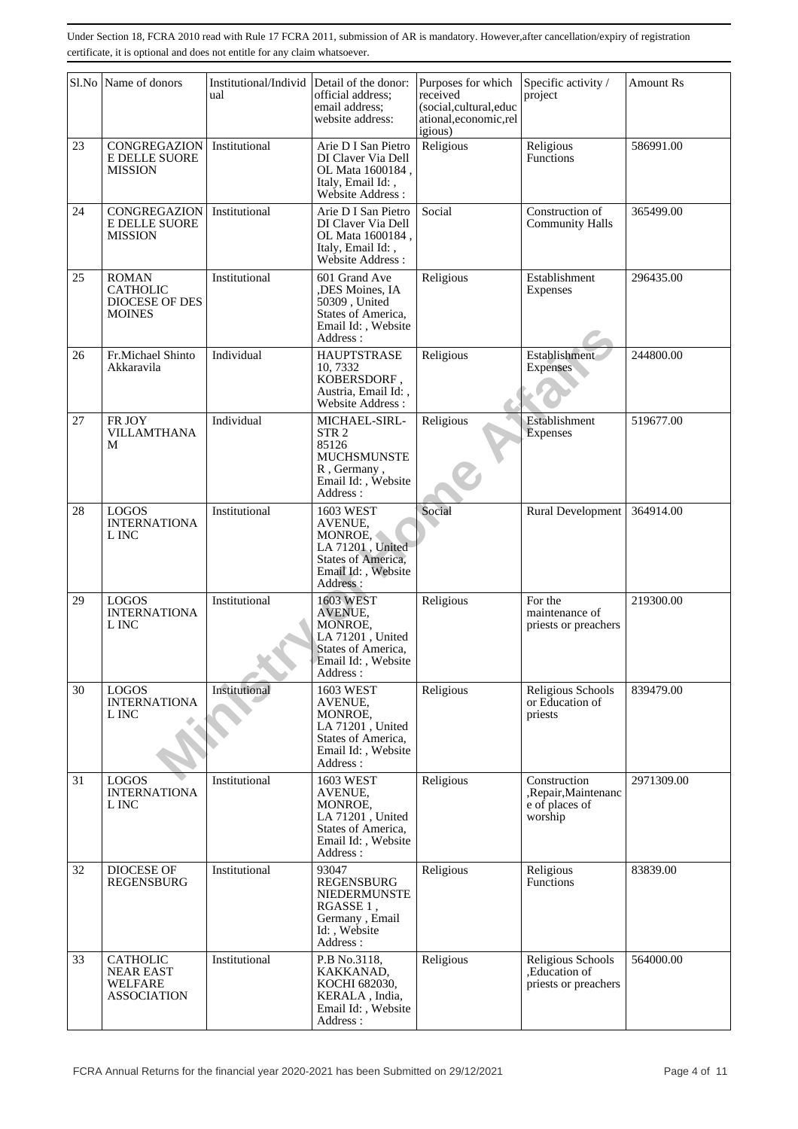|    | Sl.No Name of donors                                                        | Institutional/Individ<br>ual | Detail of the donor:<br>official address;<br>email address;<br>website address:                                           | Purposes for which<br>received<br>(social,cultural,educ<br>ational, economic, rel<br>igious) | Specific activity /<br>project                                    | <b>Amount Rs</b> |
|----|-----------------------------------------------------------------------------|------------------------------|---------------------------------------------------------------------------------------------------------------------------|----------------------------------------------------------------------------------------------|-------------------------------------------------------------------|------------------|
| 23 | CONGREGAZION<br><b>E DELLE SUORE</b><br>MISSION                             | Institutional                | Arie D I San Pietro<br>DI Claver Via Dell<br>OL Mata 1600184,<br>Italy, Email Id:,<br>Website Address:                    | Religious                                                                                    | Religious<br>Functions                                            | 586991.00        |
| 24 | CONGREGAZION<br>E DELLE SUORE<br><b>MISSION</b>                             | Institutional                | Arie D I San Pietro<br>DI Claver Via Dell<br>OL Mata 1600184,<br>Italy, Email Id:,<br>Website Address:                    | Social                                                                                       | Construction of<br><b>Community Halls</b>                         | 365499.00        |
| 25 | <b>ROMAN</b><br><b>CATHOLIC</b><br><b>DIOCESE OF DES</b><br><b>MOINES</b>   | Institutional                | 601 Grand Ave<br>,DES Moines, IA<br>50309, United<br>States of America,<br>Email Id:, Website<br>Address:                 | Religious                                                                                    | Establishment<br>Expenses                                         | 296435.00        |
| 26 | Fr.Michael Shinto<br>Akkaravila                                             | Individual                   | <b>HAUPTSTRASE</b><br>10.7332<br>KOBERSDORF,<br>Austria, Email Id:,<br>Website Address:                                   | Religious                                                                                    | Establishment<br><b>Expenses</b>                                  | 244800.00        |
| 27 | FR JOY<br><b>VILLAMTHANA</b><br>М                                           | Individual                   | MICHAEL-SIRL-<br>STR <sub>2</sub><br>85126<br><b>MUCHSMUNSTE</b><br>R, Germany,<br>Email Id: , Website<br>Address:        | Religious                                                                                    | Establishment<br><b>Expenses</b>                                  | 519677.00        |
| 28 | <b>LOGOS</b><br><b>INTERNATIONA</b><br>L INC                                | Institutional                | 1603 WEST<br>AVENUE,<br>MONROE,<br>LA 71201, United<br><b>States of America,</b><br>Email Id: , Website<br>Address:       | Social                                                                                       | Rural Development                                                 | 364914.00        |
| 29 | <b>LOGOS</b><br><b>INTERNATIONA</b><br>L INC                                | Institutional                | <b>1603 WEST</b><br>AVENUE,<br>MONROE,<br>LA 71201, United<br><b>States of America,</b><br>Email Id:, Website<br>Address: | Religious                                                                                    | For the<br>maintenance of<br>priests or preachers                 | 219300.00        |
| 30 | <b>LOGOS</b><br><b>INTERNATIONA</b><br>L INC                                | Institutional                | 1603 WEST<br>AVENUE,<br>MONROE,<br>LA 71201, United<br>States of America,<br>Email Id:, Website<br>Address :              | Religious                                                                                    | Religious Schools<br>or Education of<br>priests                   | 839479.00        |
| 31 | <b>LOGOS</b><br><b>INTERNATIONA</b><br>L INC                                | Institutional                | 1603 WEST<br><b>AVENUE.</b><br>MONROE,<br>LA 71201, United<br>States of America,<br>Email Id:, Website<br>Address:        | Religious                                                                                    | Construction<br>,Repair,Maintenanc<br>$e$ of places of<br>worship | 2971309.00       |
| 32 | DIOCESE OF<br><b>REGENSBURG</b>                                             | Institutional                | 93047<br><b>REGENSBURG</b><br>NIEDERMUNSTE<br>RGASSE 1,<br>Germany, Email<br>Id:, Website<br>Address:                     | Religious                                                                                    | Religious<br>Functions                                            | 83839.00         |
| 33 | <b>CATHOLIC</b><br><b>NEAR EAST</b><br><b>WELFARE</b><br><b>ASSOCIATION</b> | Institutional                | P.B No.3118,<br>KAKKANAD,<br>KOCHI 682030,<br>KERALA, India,<br>Email Id:, Website<br>Address:                            | Religious                                                                                    | Religious Schools<br>,Education of<br>priests or preachers        | 564000.00        |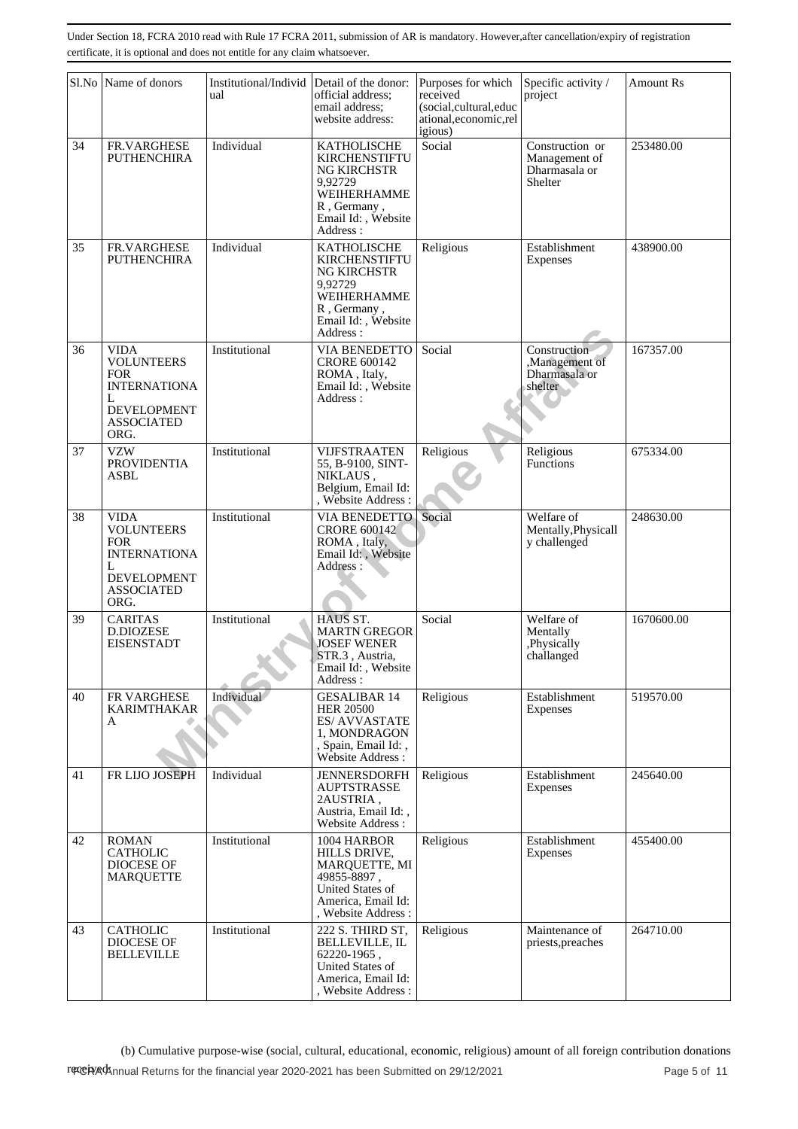|    | Sl.No Name of donors                                                                                                          | Institutional/Individ<br>ual | Detail of the donor:<br>official address:<br>email address;<br>website address:                                                      | Purposes for which<br>received<br>(social,cultural,educ<br>ational, economic, rel<br>igious) | Specific activity /<br>project                               | Amount Rs  |
|----|-------------------------------------------------------------------------------------------------------------------------------|------------------------------|--------------------------------------------------------------------------------------------------------------------------------------|----------------------------------------------------------------------------------------------|--------------------------------------------------------------|------------|
| 34 | FR.VARGHESE<br><b>PUTHENCHIRA</b>                                                                                             | Individual                   | KATHOLISCHE<br><b>KIRCHENSTIFTU</b><br>NG KIRCHSTR<br>9,92729<br>WEIHERHAMME<br>R, Germany,<br>Email Id:, Website<br>Address:        | Social                                                                                       | Construction or<br>Management of<br>Dharmasala or<br>Shelter | 253480.00  |
| 35 | FR.VARGHESE<br><b>PUTHENCHIRA</b>                                                                                             | Individual                   | <b>KATHOLISCHE</b><br><b>KIRCHENSTIFTU</b><br>NG KIRCHSTR<br>9.92729<br>WEIHERHAMME<br>R, Germany,<br>Email Id:, Website<br>Address: | Religious                                                                                    | Establishment<br>Expenses                                    | 438900.00  |
| 36 | <b>VIDA</b><br><b>VOLUNTEERS</b><br><b>FOR</b><br><b>INTERNATIONA</b><br>L<br><b>DEVELOPMENT</b><br><b>ASSOCIATED</b><br>ORG. | Institutional                | VIA BENEDETTO<br><b>CRORE 600142</b><br>ROMA, Italy,<br>Email Id:, Website<br>Address:                                               | Social                                                                                       | Construction<br>,Management of<br>Dharmasala or<br>shelter   | 167357.00  |
| 37 | <b>VZW</b><br><b>PROVIDENTIA</b><br><b>ASBL</b>                                                                               | Institutional                | <b>VIJFSTRAATEN</b><br>55, B-9100, SINT-<br>NIKLAUS,<br>Belgium, Email Id:<br>Website Address:                                       | Religious                                                                                    | Religious<br><b>Functions</b>                                | 675334.00  |
| 38 | <b>VIDA</b><br><b>VOLUNTEERS</b><br><b>FOR</b><br><b>INTERNATIONA</b><br>L<br><b>DEVELOPMENT</b><br><b>ASSOCIATED</b><br>ORG. | Institutional                | <b>VIA BENEDETTO</b><br><b>CRORE 600142</b><br>ROMA, Italy,<br>Email Id:, Website<br>Address:                                        | Social                                                                                       | Welfare of<br>Mentally, Physicall<br>y challenged            | 248630.00  |
| 39 | <b>CARITAS</b><br>D.DIOZESE<br><b>EISENSTADT</b>                                                                              | Institutional                | HAUS ST.<br><b>MARTN GREGOR</b><br><b>JOSEF WENER</b><br>STR.3, Austria,<br>Email Id:, Website<br>Address :                          | Social                                                                                       | Welfare of<br>Mentally<br>,Physically<br>challanged          | 1670600.00 |
| 40 | FR VARGHESE<br><b>KARIMTHAKAR</b><br>A                                                                                        | Individual                   | <b>GESALIBAR 14</b><br><b>HER 20500</b><br><b>ES/AVVASTATE</b><br>1. MONDRAGON<br>, Spain, Email Id:,<br>Website Address:            | Religious                                                                                    | Establishment<br>Expenses                                    | 519570.00  |
| 41 | FR LIJO JOSEPH                                                                                                                | Individual                   | <b>JENNERSDORFH</b><br><b>AUPTSTRASSE</b><br>2AUSTRIA,<br>Austria, Email Id:,<br>Website Address:                                    | Religious                                                                                    | Establishment<br>Expenses                                    | 245640.00  |
| 42 | <b>ROMAN</b><br><b>CATHOLIC</b><br><b>DIOCESE OF</b><br><b>MARQUETTE</b>                                                      | Institutional                | 1004 HARBOR<br>HILLS DRIVE,<br>MARQUETTE, MI<br>49855-8897,<br>United States of<br>America, Email Id:<br>, Website Address:          | Religious                                                                                    | Establishment<br>Expenses                                    | 455400.00  |
| 43 | <b>CATHOLIC</b><br>DIOCESE OF<br><b>BELLEVILLE</b>                                                                            | Institutional                | 222 S. THIRD ST,<br><b>BELLEVILLE, IL</b><br>$62220 - 1965$ ,<br><b>United States of</b><br>America, Email Id:<br>Website Address:   | Religious                                                                                    | Maintenance of<br>priests, preaches                          | 264710.00  |

(b) Cumulative purpose-wise (social, cultural, educational, economic, religious) amount of all foreign contribution donations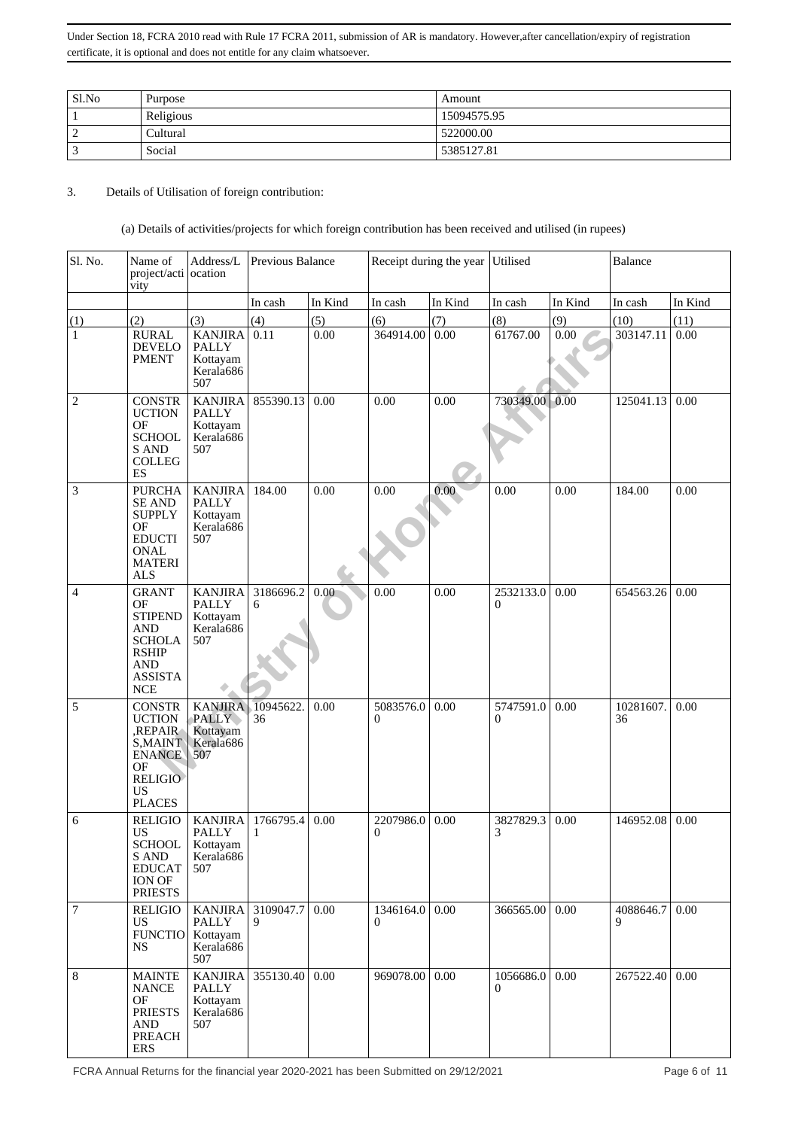| Sl.No | Purpose   | Amount      |
|-------|-----------|-------------|
|       | Religious | 15094575.95 |
| -     | Cultural  | 522000.00   |
|       | Social    | 5385127.81  |

3. Details of Utilisation of foreign contribution:

## (a) Details of activities/projects for which foreign contribution has been received and utilised (in rupees)

| Sl. No.          | Name of<br>project/acti ocation<br>vity                                                                                           | Address/L                                                      | Previous Balance |         |                       | Receipt during the year | Utilised              |         | <b>Balance</b>  |         |
|------------------|-----------------------------------------------------------------------------------------------------------------------------------|----------------------------------------------------------------|------------------|---------|-----------------------|-------------------------|-----------------------|---------|-----------------|---------|
|                  |                                                                                                                                   |                                                                | In cash          | In Kind | In cash               | In Kind                 | In cash               | In Kind | In cash         | In Kind |
| (1)              | (2)                                                                                                                               | (3)                                                            | (4)              | (5)     | (6)                   | (7)                     | (8)                   | (9)     | (10)            | (11)    |
| $\mathbf{1}$     | <b>RURAL</b><br><b>DEVELO</b><br><b>PMENT</b>                                                                                     | <b>KANJIRA</b><br><b>PALLY</b><br>Kottayam<br>Kerala686<br>507 | 0.11             | 0.00    | 364914.00             | 0.00                    | 61767.00              | 0.00    | 303147.11       | 0.00    |
| $\mathbf{2}$     | <b>CONSTR</b><br><b>UCTION</b><br>OF<br><b>SCHOOL</b><br>S AND<br><b>COLLEG</b><br>ES                                             | <b>KANJIRA</b><br><b>PALLY</b><br>Kottayam<br>Kerala686<br>507 | 855390.13        | 0.00    | 0.00                  | 0.00                    | 730349.00             | 0.00    | 125041.13       | 0.00    |
| $\mathfrak{Z}$   | <b>PURCHA</b><br><b>SE AND</b><br><b>SUPPLY</b><br>OF<br><b>EDUCTI</b><br><b>ONAL</b><br><b>MATERI</b><br><b>ALS</b>              | <b>KANJIRA</b><br><b>PALLY</b><br>Kottayam<br>Kerala686<br>507 | 184.00           | 0.00    | 0.00                  | 0.00                    | 0.00                  | 0.00    | 184.00          | 0.00    |
| $\overline{4}$   | <b>GRANT</b><br>OF<br><b>STIPEND</b><br><b>AND</b><br><b>SCHOLA</b><br><b>RSHIP</b><br><b>AND</b><br><b>ASSISTA</b><br><b>NCE</b> | <b>KANJIRA</b><br><b>PALLY</b><br>Kottayam<br>Kerala686<br>507 | 3186696.2<br>6   | 0.00    | 0.00                  | 0.00                    | 2532133.0<br>$\Omega$ | 0.00    | 654563.26       | 0.00    |
| 5                | <b>CONSTR</b><br><b>UCTION</b><br>,REPAIR<br>S, MAINT<br><b>ENANCE</b><br>OF<br><b>RELIGIO</b><br><b>US</b><br><b>PLACES</b>      | <b>KANJIRA</b><br><b>PALLY</b><br>Kottayam<br>Kerala686<br>507 | 10945622<br>36   | 0.00    | 5083576.0<br>$\Omega$ | 0.00                    | 5747591.0<br>$\Omega$ | 0.00    | 10281607.<br>36 | 0.00    |
| 6                | <b>RELIGIO</b><br>US<br><b>SCHOOL</b><br>S AND<br><b>EDUCAT</b><br>ION OF<br><b>PRIESTS</b>                                       | <b>KANJIRA</b><br><b>PALLY</b><br>Kottayam<br>Kerala686<br>507 | 1766795.4<br>1   | 0.00    | 2207986.0<br>$\Omega$ | 0.00                    | 3827829.3<br>3        | 0.00    | 146952.08       | 0.00    |
| $\boldsymbol{7}$ | <b>RELIGIO</b><br>US<br><b>FUNCTIO</b><br><b>NS</b>                                                                               | <b>KANJIRA</b><br><b>PALLY</b><br>Kottayam<br>Kerala686<br>507 | 3109047.7<br>9   | 0.00    | 1346164.0<br>0        | 0.00                    | 366565.00             | 0.00    | 4088646.7<br>9  | 0.00    |
| 8                | <b>MAINTE</b><br><b>NANCE</b><br><b>OF</b><br><b>PRIESTS</b><br><b>AND</b><br>PREACH<br><b>ERS</b>                                | <b>KANJIRA</b><br><b>PALLY</b><br>Kottayam<br>Kerala686<br>507 | 355130.40        | 0.00    | 969078.00             | 0.00                    | 1056686.0<br>$\Omega$ | 0.00    | 267522.40       | 0.00    |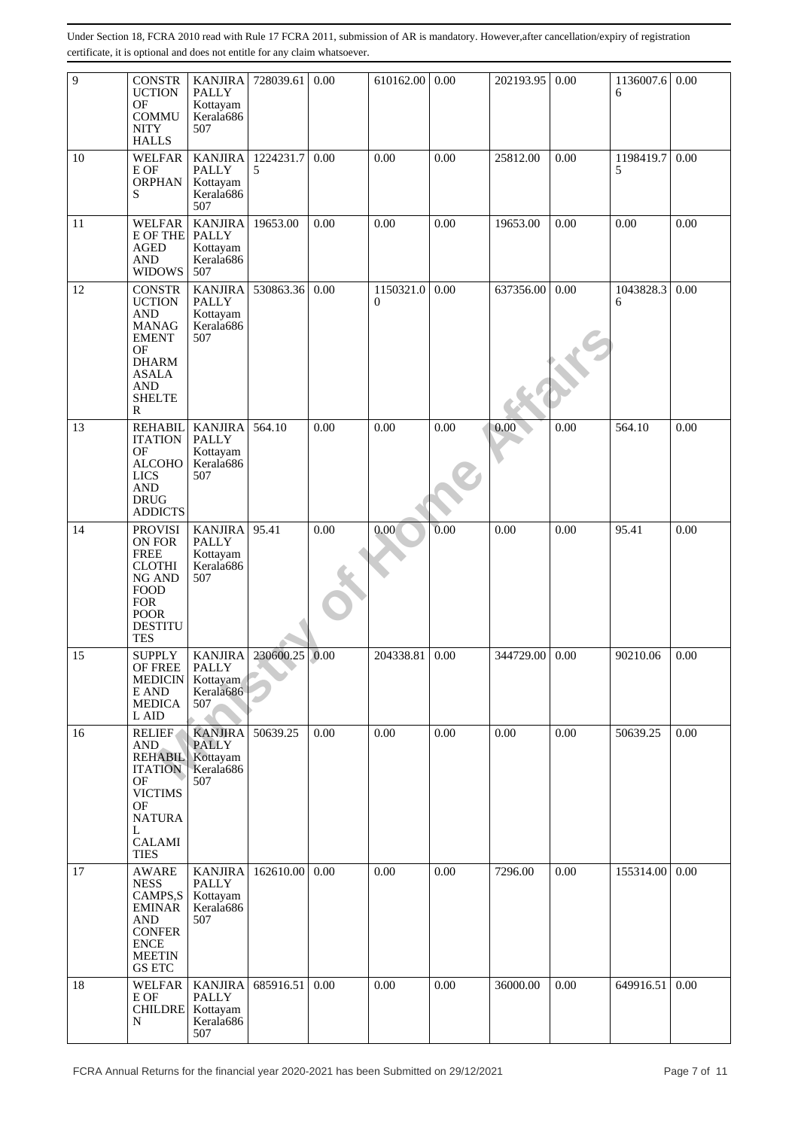| 9  | <b>CONSTR</b><br><b>UCTION</b><br>OF<br><b>COMMU</b><br><b>NITY</b><br><b>HALLS</b>                                                                    | <b>KANJIRA</b><br>PALLY<br>Kottayam<br>Kerala686<br>507        | 728039.61      | 0.00 | 610162.00                   | 0.00 | 202193.95 | 0.00 | 1136007.6<br>6 | 0.00 |
|----|--------------------------------------------------------------------------------------------------------------------------------------------------------|----------------------------------------------------------------|----------------|------|-----------------------------|------|-----------|------|----------------|------|
| 10 | <b>WELFAR</b><br>E OF<br><b>ORPHAN</b><br>S                                                                                                            | <b>KANJIRA</b><br><b>PALLY</b><br>Kottayam<br>Kerala686<br>507 | 1224231.7<br>5 | 0.00 | 0.00                        | 0.00 | 25812.00  | 0.00 | 1198419.7<br>5 | 0.00 |
| 11 | <b>WELFAR</b><br>E OF THE PALLY<br><b>AGED</b><br><b>AND</b><br><b>WIDOWS</b>                                                                          | <b>KANJIRA</b><br>Kottayam<br>Kerala686<br>507                 | 19653.00       | 0.00 | 0.00                        | 0.00 | 19653.00  | 0.00 | 0.00           | 0.00 |
| 12 | <b>CONSTR</b><br><b>UCTION</b><br><b>AND</b><br><b>MANAG</b><br><b>EMENT</b><br>OF<br><b>DHARM</b><br><b>ASALA</b><br><b>AND</b><br><b>SHELTE</b><br>R | <b>KANJIRA</b><br><b>PALLY</b><br>Kottayam<br>Kerala686<br>507 | 530863.36      | 0.00 | 1150321.0<br>$\overline{0}$ | 0.00 | 637356.00 | 0.00 | 1043828.3<br>6 | 0.00 |
| 13 | <b>REHABIL</b><br><b>ITATION</b><br>OF<br><b>ALCOHO</b><br><b>LICS</b><br><b>AND</b><br><b>DRUG</b><br><b>ADDICTS</b>                                  | <b>KANJIRA</b><br><b>PALLY</b><br>Kottayam<br>Kerala686<br>507 | 564.10         | 0.00 | 0.00                        | 0.00 | 0.00      | 0.00 | 564.10         | 0.00 |
| 14 | <b>PROVISI</b><br>ON FOR<br><b>FREE</b><br><b>CLOTHI</b><br>NG AND<br><b>FOOD</b><br><b>FOR</b><br><b>POOR</b><br><b>DESTITU</b><br><b>TES</b>         | <b>KANJIRA</b><br><b>PALLY</b><br>Kottayam<br>Kerala686<br>507 | 95.41          | 0.00 | 0.00                        | 0.00 | 0.00      | 0.00 | 95.41          | 0.00 |
| 15 | <b>SUPPLY</b><br>OF FREE<br><b>MEDICIN</b><br>E AND<br><b>MEDICA</b><br>L AID                                                                          | <b>KANJIRA</b><br>PALLY<br>Kottayam<br>Kerala686<br>507        | 230600.25      | 0.00 | 204338.81                   | 0.00 | 344729.00 | 0.00 | 90210.06       | 0.00 |
| 16 | <b>RELIEF</b><br><b>AND</b><br><b>REHABIL</b><br><b>ITATION</b><br>OF<br><b>VICTIMS</b><br>OF<br><b>NATURA</b><br>L<br><b>CALAMI</b><br><b>TIES</b>    | <b>KANJIRA</b><br><b>PALLY</b><br>Kottayam<br>Kerala686<br>507 | 50639.25       | 0.00 | 0.00                        | 0.00 | 0.00      | 0.00 | 50639.25       | 0.00 |
| 17 | <b>AWARE</b><br><b>NESS</b><br>CAMPS,S<br><b>EMINAR</b><br><b>AND</b><br><b>CONFER</b><br><b>ENCE</b><br><b>MEETIN</b><br><b>GS ETC</b>                | <b>KANJIRA</b><br><b>PALLY</b><br>Kottayam<br>Kerala686<br>507 | 162610.00      | 0.00 | 0.00                        | 0.00 | 7296.00   | 0.00 | 155314.00      | 0.00 |
| 18 | <b>WELFAR</b><br>E OF<br><b>CHILDRE</b><br>N                                                                                                           | <b>KANJIRA</b><br><b>PALLY</b><br>Kottayam<br>Kerala686<br>507 | 685916.51      | 0.00 | 0.00                        | 0.00 | 36000.00  | 0.00 | 649916.51      | 0.00 |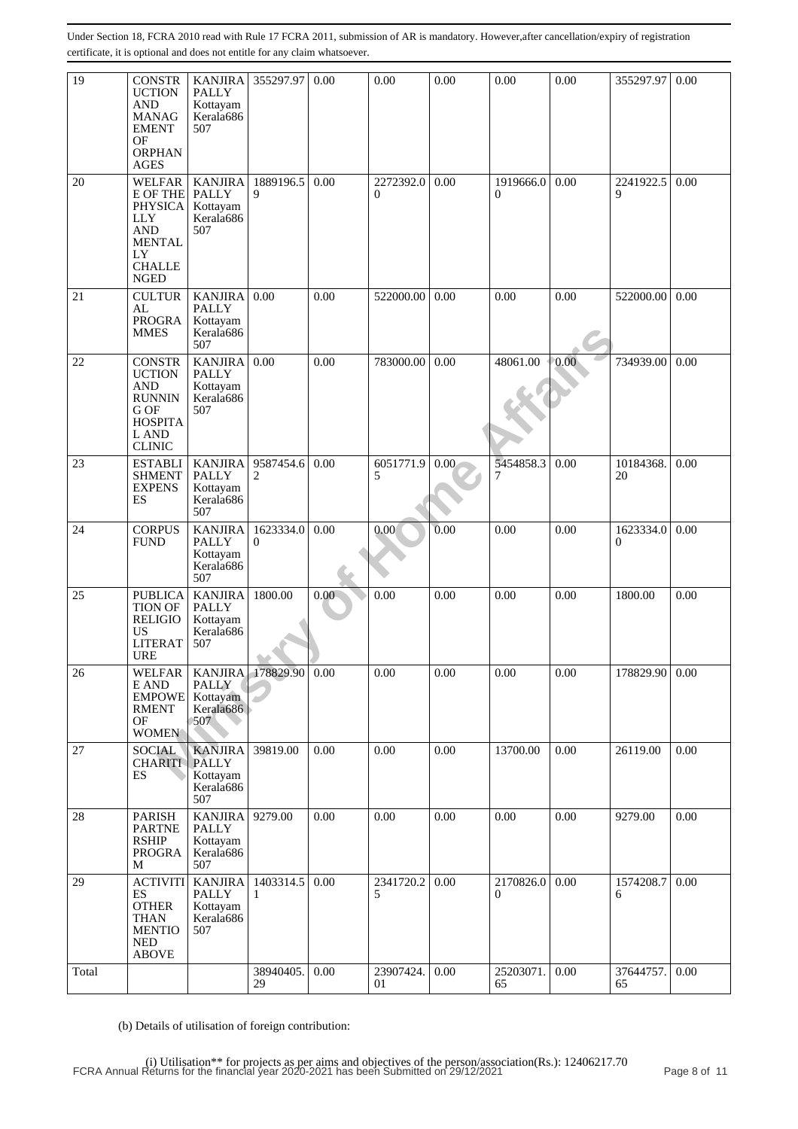| 19    | <b>CONSTR</b><br><b>UCTION</b><br><b>AND</b><br><b>MANAG</b><br><b>EMENT</b><br>OF<br><b>ORPHAN</b><br><b>AGES</b>                          | <b>KANJIRA</b><br><b>PALLY</b><br>Kottayam<br>Kerala686<br>507 | 355297.97             | 0.00 | 0.00                        | 0.00 | 0.00                  | 0.00 | 355297.97                 | 0.00 |
|-------|---------------------------------------------------------------------------------------------------------------------------------------------|----------------------------------------------------------------|-----------------------|------|-----------------------------|------|-----------------------|------|---------------------------|------|
| 20    | <b>WELFAR</b><br><b>E OF THE PALLY</b><br><b>PHYSICA</b><br><b>LLY</b><br><b>AND</b><br><b>MENTAL</b><br>LY<br><b>CHALLE</b><br><b>NGED</b> | <b>KANJIRA</b><br>Kottayam<br>Kerala686<br>507                 | 1889196.5<br>9        | 0.00 | 2272392.0<br>$\overline{0}$ | 0.00 | 1919666.0<br>$\Omega$ | 0.00 | 2241922.5<br>9            | 0.00 |
| 21    | <b>CULTUR</b><br>AL<br><b>PROGRA</b><br><b>MMES</b>                                                                                         | <b>KANJIRA</b><br><b>PALLY</b><br>Kottayam<br>Kerala686<br>507 | 0.00                  | 0.00 | 522000.00                   | 0.00 | 0.00                  | 0.00 | 522000.00                 | 0.00 |
| 22    | <b>CONSTR</b><br><b>UCTION</b><br><b>AND</b><br><b>RUNNIN</b><br>G OF<br><b>HOSPITA</b><br>L AND<br><b>CLINIC</b>                           | <b>KANJIRA</b><br><b>PALLY</b><br>Kottayam<br>Kerala686<br>507 | 0.00                  | 0.00 | 783000.00                   | 0.00 | 48061.00              | 0.00 | 734939.00                 | 0.00 |
| 23    | <b>ESTABLI</b><br><b>SHMENT</b><br><b>EXPENS</b><br>ES                                                                                      | <b>KANJIRA</b><br><b>PALLY</b><br>Kottayam<br>Kerala686<br>507 | 9587454.6<br>2        | 0.00 | 6051771.9<br>5              | 0.00 | 5454858.3<br>7        | 0.00 | 10184368.<br>20           | 0.00 |
| 24    | <b>CORPUS</b><br><b>FUND</b>                                                                                                                | <b>KANJIRA</b><br><b>PALLY</b><br>Kottayam<br>Kerala686<br>507 | 1623334.0<br>$\theta$ | 0.00 | 0.00                        | 0.00 | 0.00                  | 0.00 | 1623334.0<br>$\mathbf{0}$ | 0.00 |
| 25    | <b>PUBLICA</b><br><b>TION OF</b><br><b>RELIGIO</b><br>US.<br><b>LITERAT</b><br><b>URE</b>                                                   | <b>KANJIRA</b><br><b>PALLY</b><br>Kottayam<br>Kerala686<br>507 | 1800.00               | 0.00 | 0.00                        | 0.00 | 0.00                  | 0.00 | 1800.00                   | 0.00 |
| 26    | WELFAR<br>$\mathop{\hbox{\rm E}\,}\nolimits$ AND<br><b>EMPOWE</b><br><b>RMENT</b><br>OF<br><b>WOMEN</b>                                     | <b>PALLY</b><br>Kottayam<br>Kerala686<br>507                   | KANJIRA 178829.90     | 0.00 | 0.00                        | 0.00 | 0.00                  | 0.00 | 178829.90                 | 0.00 |
| 27    | <b>SOCIAL</b><br><b>CHARITI</b><br>ES                                                                                                       | <b>KANJIRA</b><br><b>PALLY</b><br>Kottayam<br>Kerala686<br>507 | 39819.00              | 0.00 | 0.00                        | 0.00 | 13700.00              | 0.00 | 26119.00                  | 0.00 |
| 28    | <b>PARISH</b><br><b>PARTNE</b><br><b>RSHIP</b><br><b>PROGRA</b><br>М                                                                        | <b>KANJIRA</b><br><b>PALLY</b><br>Kottayam<br>Kerala686<br>507 | 9279.00               | 0.00 | 0.00                        | 0.00 | 0.00                  | 0.00 | 9279.00                   | 0.00 |
| 29    | <b>ACTIVITI</b><br><b>ES</b><br><b>OTHER</b><br><b>THAN</b><br><b>MENTIO</b><br><b>NED</b><br><b>ABOVE</b>                                  | <b>KANJIRA</b><br><b>PALLY</b><br>Kottayam<br>Kerala686<br>507 | 1403314.5<br>1        | 0.00 | 2341720.2<br>5              | 0.00 | 2170826.0<br>$\theta$ | 0.00 | 1574208.7<br>6            | 0.00 |
| Total |                                                                                                                                             |                                                                | 38940405.<br>29       | 0.00 | 23907424.<br>01             | 0.00 | 25203071.<br>65       | 0.00 | 37644757.<br>65           | 0.00 |

(b) Details of utilisation of foreign contribution: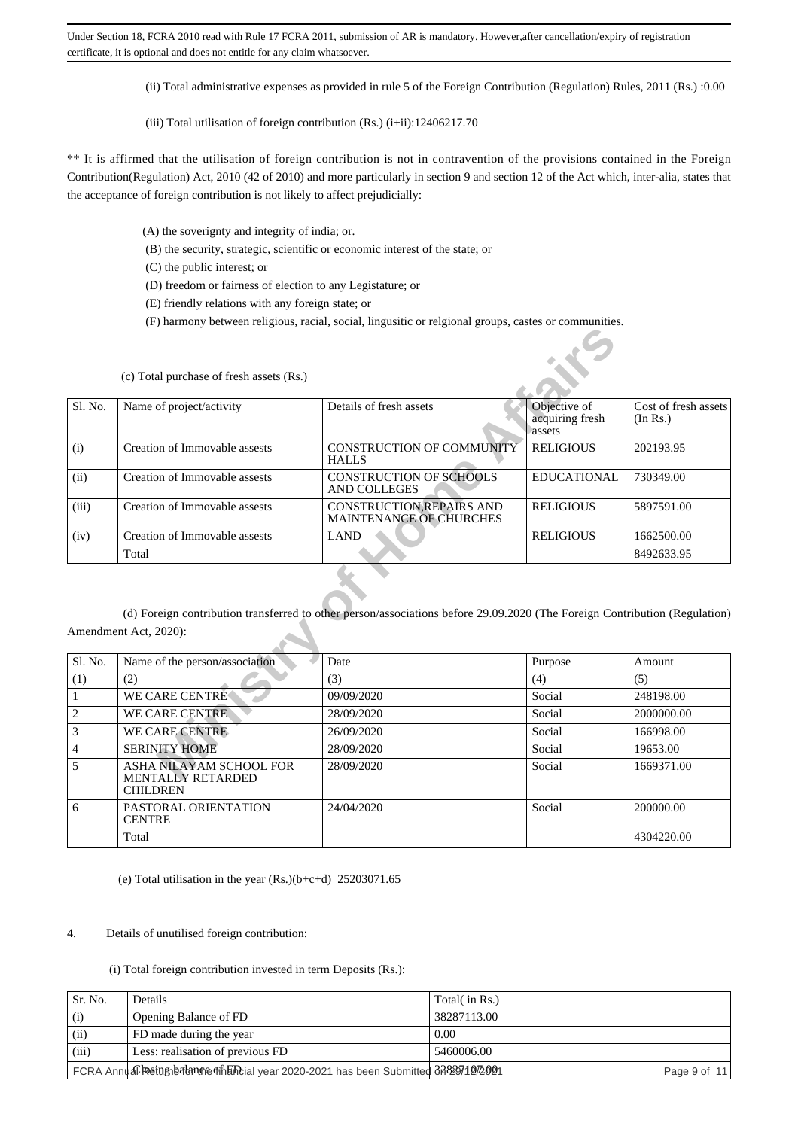(ii) Total administrative expenses as provided in rule 5 of the Foreign Contribution (Regulation) Rules, 2011 (Rs.) :0.00

(iii) Total utilisation of foreign contribution (Rs.)  $(i+ii)$ : 12406217.70

\*\* It is affirmed that the utilisation of foreign contribution is not in contravention of the provisions contained in the Foreign Contribution(Regulation) Act, 2010 (42 of 2010) and more particularly in section 9 and section 12 of the Act which, inter-alia, states that the acceptance of foreign contribution is not likely to affect prejudicially:

(A) the soverignty and integrity of india; or.

(B) the security, strategic, scientific or economic interest of the state; or

(C) the public interest; or

(D) freedom or fairness of election to any Legistature; or

(E) friendly relations with any foreign state; or

(F) harmony between religious, racial, social, lingusitic or relgional groups, castes or communities.

|                | (c) Total purchase of fresh assets (Rs.)            |                                                                                                                            |                                           |                                  |
|----------------|-----------------------------------------------------|----------------------------------------------------------------------------------------------------------------------------|-------------------------------------------|----------------------------------|
| Sl. No.        | Name of project/activity                            | Details of fresh assets                                                                                                    | Objective of<br>acquiring fresh<br>assets | Cost of fresh assets<br>(In Rs.) |
| (i)            | Creation of Immovable assests                       | CONSTRUCTION OF COMMUNITY<br><b>HALLS</b>                                                                                  | <b>RELIGIOUS</b>                          | 202193.95                        |
| (ii)           | Creation of Immovable assests                       | <b>CONSTRUCTION OF SCHOOLS</b><br>AND COLLEGES                                                                             | <b>EDUCATIONAL</b>                        | 730349.00                        |
| (iii)          | Creation of Immovable assests                       | <b>CONSTRUCTION, REPAIRS AND</b><br>MAINTENANCE OF CHURCHES                                                                | <b>RELIGIOUS</b>                          | 5897591.00                       |
| (iv)           | Creation of Immovable assests                       | <b>LAND</b>                                                                                                                | <b>RELIGIOUS</b>                          | 1662500.00                       |
|                | Total                                               |                                                                                                                            |                                           | 8492633.95                       |
|                | Amendment Act, 2020):                               | (d) Foreign contribution transferred to other person/associations before 29.09.2020 (The Foreign Contribution (Regulation) |                                           |                                  |
| Sl. No.        | Name of the person/association                      | Date                                                                                                                       | Purpose                                   | Amount                           |
| (1)            | (2)                                                 | (3)                                                                                                                        | (4)                                       | (5)                              |
| 1              | <b>WE CARE CENTRE</b>                               | 09/09/2020                                                                                                                 | Social                                    | 248198.00                        |
| $\overline{c}$ | <b>WE CARE CENTRE</b>                               | 28/09/2020                                                                                                                 | Social                                    | 2000000.00                       |
| 3              | <b>WE CARE CENTRE</b>                               | 26/09/2020                                                                                                                 | Social                                    | 166998.00                        |
| $\overline{4}$ | <b>SERINITY HOME</b>                                | 28/09/2020                                                                                                                 | Social                                    | 19653.00                         |
| 5              | ASHA NILAYAM SCHOOL FOR<br><b>MENTALLY RETARDED</b> | 28/09/2020                                                                                                                 | Social                                    | 1669371.00                       |

| Sl. No.        | Name of the person/association                                         | Date       | Purpose | Amount     |
|----------------|------------------------------------------------------------------------|------------|---------|------------|
| (1)            | (2)                                                                    | (3)        | (4)     | (5)        |
|                | <b>WE CARE CENTRE</b>                                                  | 09/09/2020 | Social  | 248198.00  |
| $\overline{c}$ | <b>WE CARE CENTRE</b>                                                  | 28/09/2020 | Social  | 2000000.00 |
| 3              | <b>WE CARE CENTRE</b>                                                  | 26/09/2020 | Social  | 166998.00  |
| $\overline{4}$ | <b>SERINITY HOME</b>                                                   | 28/09/2020 | Social  | 19653.00   |
| 5              | ASHA NILAYAM SCHOOL FOR<br><b>MENTALLY RETARDED</b><br><b>CHILDREN</b> | 28/09/2020 | Social  | 1669371.00 |
| 6              | PASTORAL ORIENTATION<br><b>CENTRE</b>                                  | 24/04/2020 | Social  | 200000.00  |
|                | Total                                                                  |            |         | 4304220.00 |

(e) Total utilisation in the year  $(Rs.)(b+c+d)$  25203071.65

#### 4. Details of unutilised foreign contribution:

(i) Total foreign contribution invested in term Deposits (Rs.):

| Sr. No. | Details                                                                         | Total( in Rs.) |
|---------|---------------------------------------------------------------------------------|----------------|
|         |                                                                                 |                |
| (i)     | Opening Balance of FD                                                           | 38287113.00    |
| (ii)    | FD made during the year                                                         | 0.00           |
| (iii)   | Less: realisation of previous FD                                                | 5460006.00     |
|         | FCRA Annual Restugneration of Energy 2020-2021 has been Submitted 3282971272021 | Page 9 of 11   |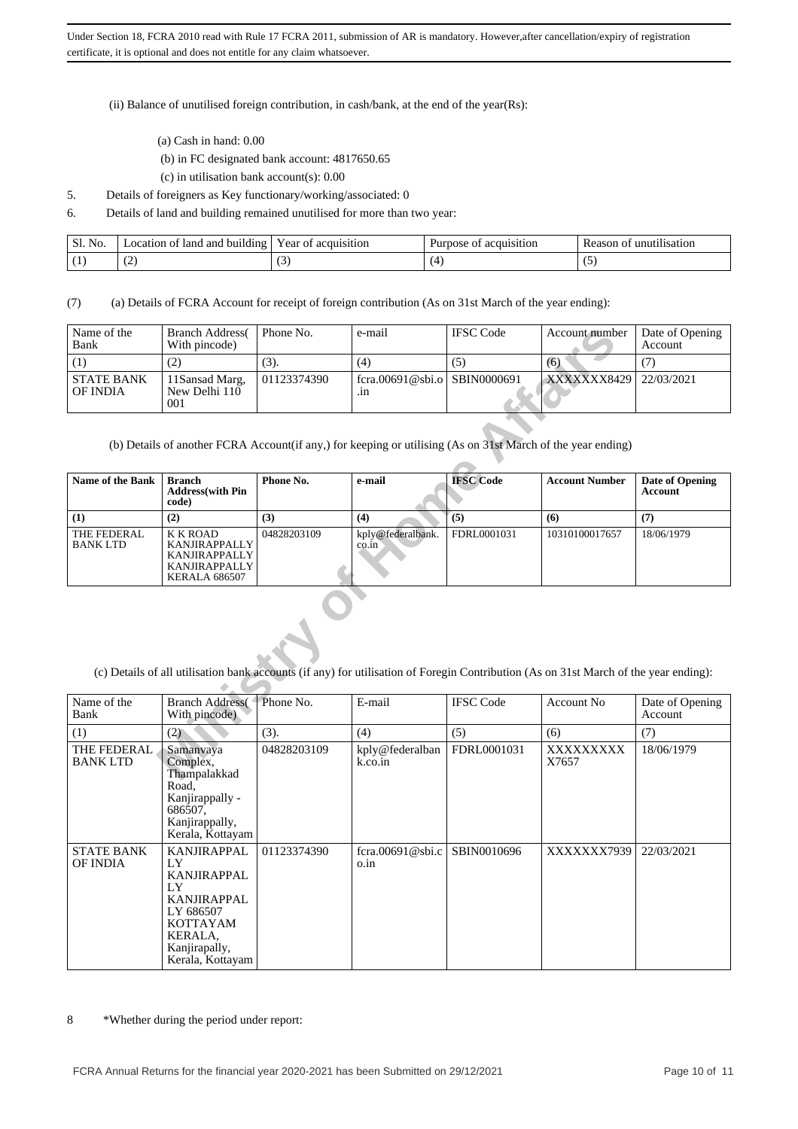(ii) Balance of unutilised foreign contribution, in cash/bank, at the end of the year(Rs):

- (a) Cash in hand: 0.00
- (b) in FC designated bank account: 4817650.65
- (c) in utilisation bank account(s): 0.00
- 5. Details of foreigners as Key functionary/working/associated: 0
- 6. Details of land and building remained unutilised for more than two year:

| Sl.<br>No. | i of land and building<br>_ocation | Year of acquisition | acquisition<br>Purpose of | unutilisation<br>Reason<br>ΩT |
|------------|------------------------------------|---------------------|---------------------------|-------------------------------|
|            | . .                                | v                   |                           |                               |

(7) (a) Details of FCRA Account for receipt of foreign contribution (As on 31st March of the year ending):

| Name of the<br>Bank           | <b>Branch Address</b><br>With pincode) | Phone No.   | e-mail                              | <b>IFSC</b> Code | Account number         | Date of Opening<br>Account |
|-------------------------------|----------------------------------------|-------------|-------------------------------------|------------------|------------------------|----------------------------|
|                               | (2)                                    | (3).        | (4)                                 | ر حي             | (6)                    |                            |
| <b>STATE BANK</b><br>OF INDIA | 1Sansad Marg.<br>New Delhi 110<br>001  | 01123374390 | fcra.00691@sbi.o SBIN0000691<br>.ın |                  | XXXXXXX8429 22/03/2021 |                            |

| Name of the<br>Bank                                                                                                                  | <b>Branch Address</b><br>With pincode)                                                                          | Phone No.   | e-mail                            | <b>IFSC Code</b> | Account number        | Date of Opening<br>Account               |  |
|--------------------------------------------------------------------------------------------------------------------------------------|-----------------------------------------------------------------------------------------------------------------|-------------|-----------------------------------|------------------|-----------------------|------------------------------------------|--|
| (1)                                                                                                                                  | (2)                                                                                                             | (3).        | (4)                               | (5)              | (6)                   | (7)                                      |  |
| <b>STATE BANK</b><br><b>OF INDIA</b>                                                                                                 | 11Sansad Marg,<br>New Delhi $110$<br>001                                                                        | 01123374390 | $f_{\rm cra.}$ 00691@sbi.o<br>.in | SBIN0000691      | XXXXXXX8429           | 22/03/2021                               |  |
| (b) Details of another FCRA Account (if any,) for keeping or utilising (As on 31st March of the year ending)                         |                                                                                                                 |             |                                   |                  |                       |                                          |  |
| Name of the Bank                                                                                                                     | <b>Branch</b><br><b>Address</b> (with Pin<br>code)                                                              | Phone No.   | e-mail                            | <b>IFSC</b> Code | <b>Account Number</b> | <b>Date of Opening</b><br><b>Account</b> |  |
| (1)                                                                                                                                  | (2)                                                                                                             | (3)         | (4)                               | (5)              | (6)                   | (7)                                      |  |
| THE FEDERAL<br><b>BANKLTD</b>                                                                                                        | <b>K K ROAD</b><br><b>KANJIRAPPALLY</b><br><b>KANJIRAPPALLY</b><br><b>KANJIRAPPALLY</b><br><b>KERALA 686507</b> | 04828203109 | kply@federalbank.<br>co.in        | FDRL0001031      | 10310100017657        | 18/06/1979                               |  |
| (c) Details of all utilisation bank accounts (if any) for utilisation of Foregin Contribution (As on 31st March of the year ending): |                                                                                                                 |             |                                   |                  |                       |                                          |  |
| Name of the<br>Bank                                                                                                                  | <b>Branch Address</b><br>With pincode)                                                                          | Phone No.   | E-mail                            | <b>IFSC Code</b> | <b>Account No</b>     | Date of Opening<br>Account               |  |
| (1)                                                                                                                                  | (2)                                                                                                             | (3).        | (4)                               | (5)              | (6)                   | (7)                                      |  |
| THE FEDERAL<br><b>BANKLTD</b>                                                                                                        | Samanyaya<br>Complex,<br>Thampalakkad                                                                           | 04828203109 | kply@federalban<br>k.co.in        | FDRL0001031      | XXXXXXXXX<br>X7657    | 18/06/1979                               |  |

| Name of the<br>Bank           | <b>Branch Address</b><br>With pincode)                                                                                                       | Phone No.   | E-mail                                | <b>IFSC Code</b> | Account No.        | Date of Opening<br>Account |
|-------------------------------|----------------------------------------------------------------------------------------------------------------------------------------------|-------------|---------------------------------------|------------------|--------------------|----------------------------|
| (1)                           | (2)                                                                                                                                          | (3).        | (4)                                   | (5)              | (6)                | (7)                        |
| THE FEDERAL<br><b>BANKLTD</b> | Samanyaya<br>Complex,<br>Thampalakkad<br>Road,<br>Kanjirappally -<br>686507,<br>Kanjirappally,<br>Kerala, Kottayam                           | 04828203109 | kply@federalban<br>k.co.in            | FDRL0001031      | XXXXXXXXX<br>X7657 | 18/06/1979                 |
| STATE BANK<br>OF INDIA        | <b>KANJIRAPPAL</b><br>LY<br>KANJIRAPPAL<br>LY<br>KANJIRAPPAL<br>LY 686507<br><b>KOTTAYAM</b><br>KERALA,<br>Kanjirapally,<br>Kerala, Kottayam | 01123374390 | $f_{\text{Cra.}}00691@$ sbi.c<br>o.in | SBIN0010696      | XXXXXXX7939        | 22/03/2021                 |

8 \*Whether during the period under report: